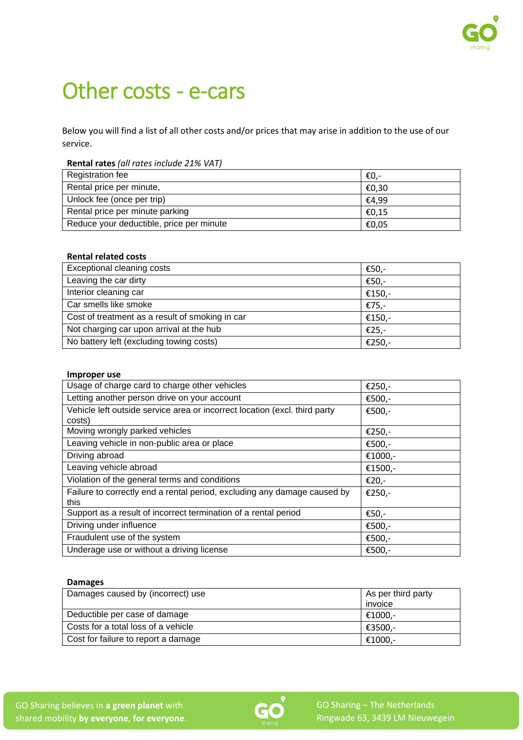

# Other costs - e-cars

Below you will find a list of all other costs and/or prices that may arise in addition to the use of our service.

**Rental rates** *(all rates include 21% VAT)*

| Registration fee                         | €0.-  |
|------------------------------------------|-------|
| Rental price per minute,                 | €0.30 |
| Unlock fee (once per trip)               | €4.99 |
| Rental price per minute parking          | €0.15 |
| Reduce your deductible, price per minute | €0,05 |

## **Rental related costs**

| Exceptional cleaning costs                      | €50,-  |
|-------------------------------------------------|--------|
| Leaving the car dirty                           | €50,-  |
| Interior cleaning car                           | €150,- |
| Car smells like smoke                           | €75,-  |
| Cost of treatment as a result of smoking in car | €150,- |
| Not charging car upon arrival at the hub        | €25,-  |
| No battery left (excluding towing costs)        | €250,- |

#### **Improper use**

| Usage of charge card to charge other vehicles                                        | €250,-  |
|--------------------------------------------------------------------------------------|---------|
| Letting another person drive on your account                                         | €500,-  |
| Vehicle left outside service area or incorrect location (excl. third party<br>costs) | €500,-  |
| Moving wrongly parked vehicles                                                       | €250,-  |
| Leaving vehicle in non-public area or place                                          | €500,-  |
| Driving abroad                                                                       | €1000,- |
| Leaving vehicle abroad                                                               | €1500,- |
| Violation of the general terms and conditions                                        | €20,-   |
| Failure to correctly end a rental period, excluding any damage caused by<br>this     | €250,-  |
| Support as a result of incorrect termination of a rental period                      | €50,-   |
| Driving under influence                                                              | €500,-  |
| Fraudulent use of the system                                                         | €500,-  |
| Underage use or without a driving license                                            | €500,-  |
|                                                                                      |         |

## **Damages**

| Damages caused by (incorrect) use   | As per third party |
|-------------------------------------|--------------------|
|                                     | invoice            |
| Deductible per case of damage       | €1000.-            |
| Costs for a total loss of a vehicle | €3500.-            |
| Cost for failure to report a damage | €1000,-            |